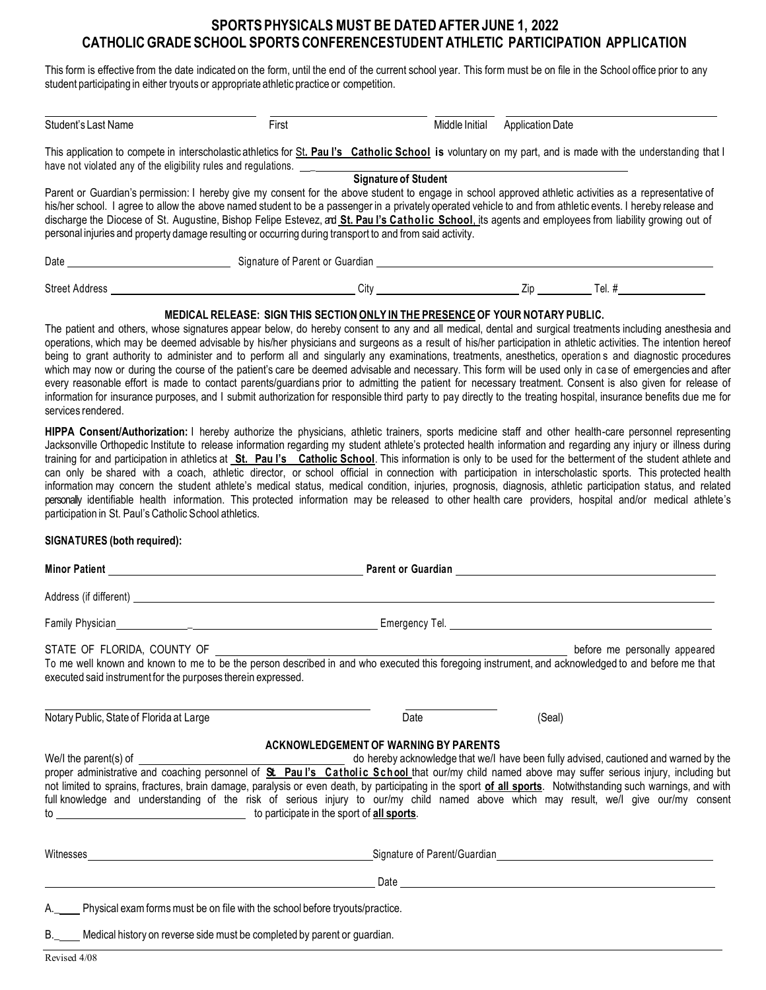## **SPORTS PHYSICALS MUST BE DATED AFTERJUNE 1, 2022 CATHOLICGRADE SCHOOL SPORTSCONFERENCESTUDENT ATHLETIC PARTICIPATION APPLICATION**

This form is effective from the date indicated on the form, until the end of the current school year. This form must be on file in the School office prior to any student participating in either tryouts or appropriate athletic practice or competition.

Student's Last Name First First Middle Initial Application Date This application to compete in interscholastic athletics for St**. Pau l's Catholic School is** voluntary on my part, and is made with the understanding that I have not violated any of the eligibility rules and regulations. **Signature of Student** Parent or Guardian's permission: I hereby give my consent for the above student to engage in school approved athletic activities as a representative of his/her school. I agree to allow the above named student to be a passenger in a privately operated vehicle to and from athletic events. I hereby release and discharge the Diocese of St. Augustine, Bishop Felipe Estevez, and **St. Pau l's Catholic School**, its agents and employees from liability growing out of personal injuries and property damage resulting or occurring during transport to and from said activity. Date **Signature of Parent or Guardian** Street Address Tel. # City City City Zip Tel. #

#### **MEDICAL RELEASE: SIGN THIS SECTIONONLY IN THE PRESENCEOF YOUR NOTARY PUBLIC.**

The patient and others, whose signatures appear below, do hereby consent to any and all medical, dental and surgical treatments including anesthesia and operations, which may be deemed advisable by his/her physicians and surgeons as a result of his/her participation in athletic activities. The intention hereof being to grant authority to administer and to perform all and singularly any examinations, treatments, anesthetics, operation s and diagnostic procedures which may now or during the course of the patient's care be deemed advisable and necessary. This form will be used only in ca se of emergencies and after every reasonable effort is made to contact parents/guardians prior to admitting the patient for necessary treatment. Consent is also given for release of information for insurance purposes, and I submit authorization for responsible third party to pay directly to the treating hospital, insurance benefits due me for services rendered.

**HIPPA Consent/Authorization:** I hereby authorize the physicians, athletic trainers, sports medicine staff and other health-care personnel representing Jacksonville Orthopedic Institute to release information regarding my student athlete's protected health information and regarding any injury or illness during training for and participation in athletics at **St. Pau l's Catholic School**. This information is only to be used for the betterment of the student athlete and can only be shared with a coach, athletic director, or school official in connection with participation in interscholastic sports. This protected health information may concern the student athlete's medical status, medical condition, injuries, prognosis, diagnosis, athletic participation status, and related personally identifiable health information. This protected information may be released to other health care providers, hospital and/or medical athlete's participation in St. Paul's Catholic School athletics.

#### **SIGNATURES (both required):**

| executed said instrument for the purposes therein expressed.                                                                                                                                                                                                                                                                       |                                       |        |
|------------------------------------------------------------------------------------------------------------------------------------------------------------------------------------------------------------------------------------------------------------------------------------------------------------------------------------|---------------------------------------|--------|
| Notary Public, State of Florida at Large                                                                                                                                                                                                                                                                                           | Date                                  | (Seal) |
| not limited to sprains, fractures, brain damage, paralysis or even death, by participating in the sport of all sports. Notwithstanding such warnings, and with<br>full knowledge and understanding of the risk of serious injury to our/my child named above which may result, we/l give our/my consent                            | ACKNOWLEDGEMENT OF WARNING BY PARENTS |        |
|                                                                                                                                                                                                                                                                                                                                    |                                       |        |
|                                                                                                                                                                                                                                                                                                                                    |                                       |        |
| A. Physical exam forms must be on file with the school before tryouts/practice.                                                                                                                                                                                                                                                    |                                       |        |
| B. _____ Medical history on reverse side must be completed by parent or guardian.                                                                                                                                                                                                                                                  |                                       |        |
| $\mathbf{r}$ $\mathbf{r}$ $\mathbf{r}$ $\mathbf{r}$ $\mathbf{r}$ $\mathbf{r}$ $\mathbf{r}$ $\mathbf{r}$ $\mathbf{r}$ $\mathbf{r}$ $\mathbf{r}$ $\mathbf{r}$ $\mathbf{r}$ $\mathbf{r}$ $\mathbf{r}$ $\mathbf{r}$ $\mathbf{r}$ $\mathbf{r}$ $\mathbf{r}$ $\mathbf{r}$ $\mathbf{r}$ $\mathbf{r}$ $\mathbf{r}$ $\mathbf{r}$ $\mathbf{$ |                                       |        |